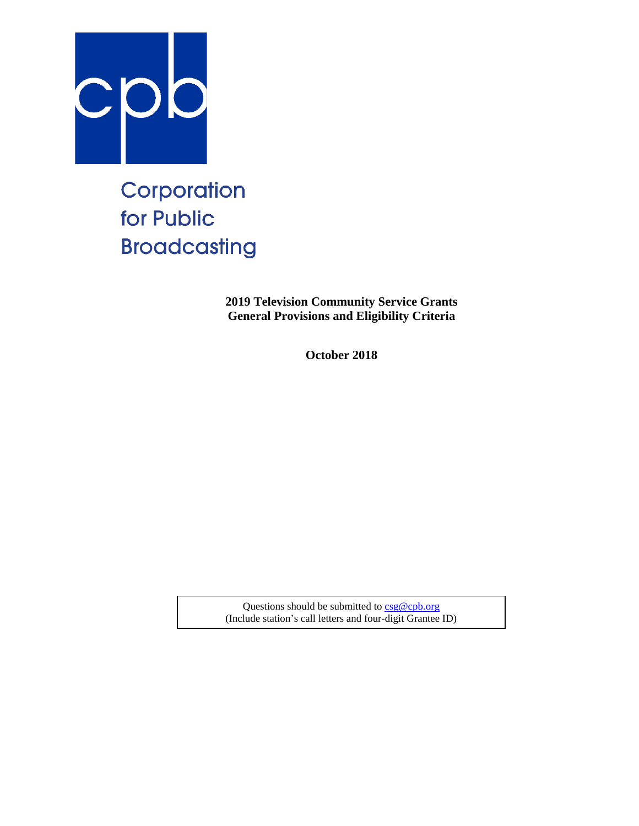

# Corporation for Public **Broadcasting**

**2019 Television Community Service Grants General Provisions and Eligibility Criteria**

**October 2018**

Questions should be submitted t[o csg@cpb.org](mailto:csg@cpb.org) (Include station's call letters and four-digit Grantee ID)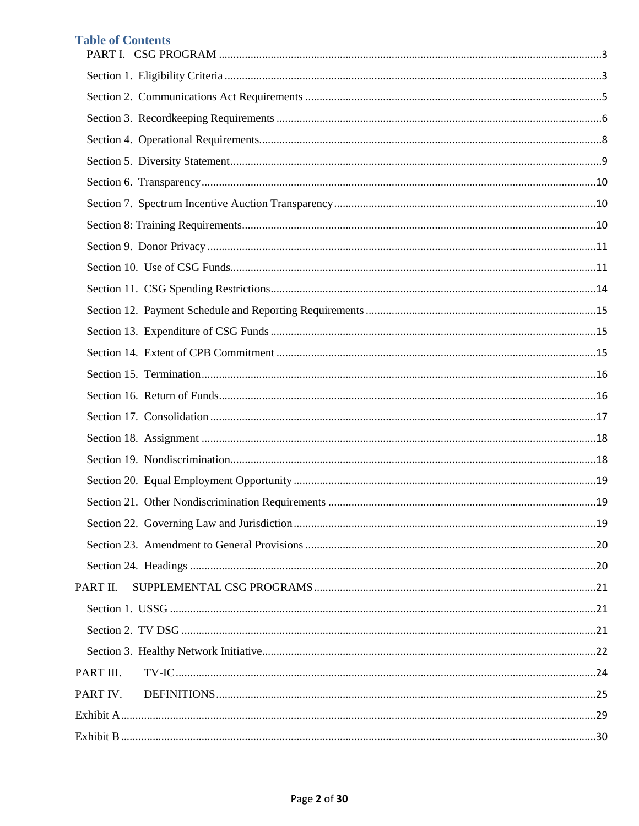# **Table of Contents**

| PART II.  |  |
|-----------|--|
|           |  |
|           |  |
|           |  |
| PART III. |  |
| PART IV.  |  |
|           |  |
|           |  |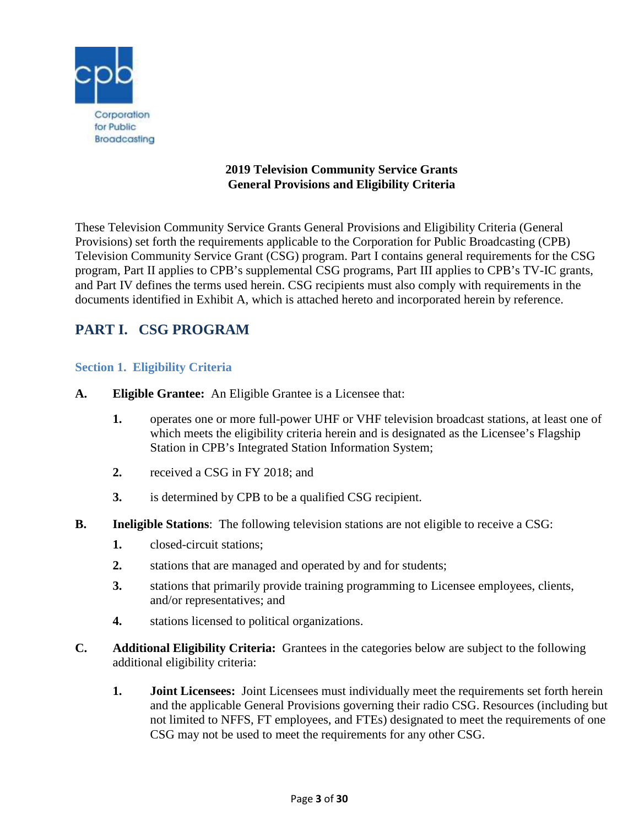

## **2019 Television Community Service Grants General Provisions and Eligibility Criteria**

These Television Community Service Grants General Provisions and Eligibility Criteria (General Provisions) set forth the requirements applicable to the Corporation for Public Broadcasting (CPB) Television Community Service Grant (CSG) program. Part I contains general requirements for the CSG program, Part II applies to CPB's supplemental CSG programs, Part III applies to CPB's TV-IC grants, and Part IV defines the terms used herein. CSG recipients must also comply with requirements in the documents identified in Exhibit A, which is attached hereto and incorporated herein by reference.

# <span id="page-2-0"></span>**PART I. CSG PROGRAM**

#### <span id="page-2-1"></span>**Section 1. Eligibility Criteria**

- **A. Eligible Grantee:** An Eligible Grantee is a Licensee that:
	- **1.** operates one or more full-power UHF or VHF television broadcast stations, at least one of which meets the eligibility criteria herein and is designated as the Licensee's Flagship Station in CPB's Integrated Station Information System;
	- **2.** received a CSG in FY 2018; and
	- **3.** is determined by CPB to be a qualified CSG recipient.
- **B.** Ineligible Stations: The following television stations are not eligible to receive a CSG:
	- **1.** closed-circuit stations;
	- **2.** stations that are managed and operated by and for students;
	- **3.** stations that primarily provide training programming to Licensee employees, clients, and/or representatives; and
	- **4.** stations licensed to political organizations.
- **C. Additional Eligibility Criteria:** Grantees in the categories below are subject to the following additional eligibility criteria:
	- **1. Joint Licensees:** Joint Licensees must individually meet the requirements set forth herein and the applicable General Provisions governing their radio CSG. Resources (including but not limited to NFFS, FT employees, and FTEs) designated to meet the requirements of one CSG may not be used to meet the requirements for any other CSG.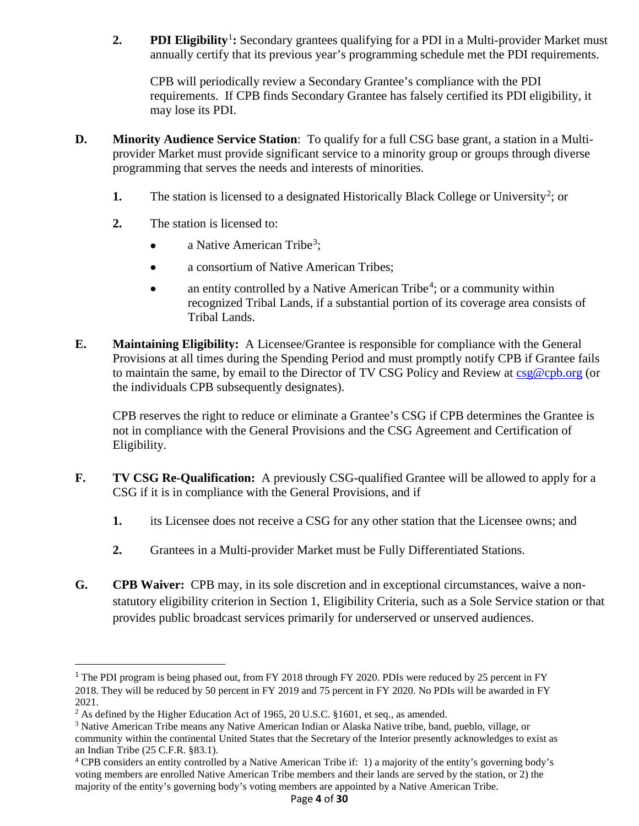**2. PDI Eligibility**<sup>[1](#page-3-0)</sup>: Secondary grantees qualifying for a PDI in a Multi-provider Market must annually certify that its previous year's programming schedule met the PDI requirements.

CPB will periodically review a Secondary Grantee's compliance with the PDI requirements. If CPB finds Secondary Grantee has falsely certified its PDI eligibility, it may lose its PDI.

- **D. Minority Audience Service Station**: To qualify for a full CSG base grant, a station in a Multiprovider Market must provide significant service to a minority group or groups through diverse programming that serves the needs and interests of minorities.
	- **1.** The station is licensed to a designated Historically Black College or University<sup>[2](#page-3-1)</sup>; or
	- **2.** The station is licensed to:
		- a Native American Tribe<sup>[3](#page-3-2)</sup>;
		- a consortium of Native American Tribes;
		- an entity controlled by a Native American Tribe<sup>[4](#page-3-3)</sup>; or a community within recognized Tribal Lands, if a substantial portion of its coverage area consists of Tribal Lands.
- **E. Maintaining Eligibility:** A Licensee/Grantee is responsible for compliance with the General Provisions at all times during the Spending Period and must promptly notify CPB if Grantee fails to maintain the same, by email to the Director of TV CSG Policy and Review at  $csg@cpb.org$  (or the individuals CPB subsequently designates).

CPB reserves the right to reduce or eliminate a Grantee's CSG if CPB determines the Grantee is not in compliance with the General Provisions and the CSG Agreement and Certification of Eligibility.

- **F. TV CSG Re-Qualification:** A previously CSG-qualified Grantee will be allowed to apply for a CSG if it is in compliance with the General Provisions, and if
	- **1.** its Licensee does not receive a CSG for any other station that the Licensee owns; and
	- **2.** Grantees in a Multi-provider Market must be Fully Differentiated Stations.
- **G. CPB Waiver:** CPB may, in its sole discretion and in exceptional circumstances, waive a nonstatutory eligibility criterion in Section 1, Eligibility Criteria, such as a Sole Service station or that provides public broadcast services primarily for underserved or unserved audiences.

<span id="page-3-0"></span><sup>&</sup>lt;sup>1</sup> The PDI program is being phased out, from FY 2018 through FY 2020. PDIs were reduced by 25 percent in FY 2018. They will be reduced by 50 percent in FY 2019 and 75 percent in FY 2020. No PDIs will be awarded in FY 2021.

<span id="page-3-1"></span><sup>&</sup>lt;sup>2</sup> As defined by the Higher Education Act of 1965, 20 U.S.C. §1601, et seq., as amended.

<span id="page-3-2"></span><sup>3</sup> Native American Tribe means any Native American Indian or Alaska Native tribe, band, pueblo, village, or community within the continental United States that the Secretary of the Interior presently acknowledges to exist as an Indian Tribe (25 C.F.R. §83.1).

<span id="page-3-3"></span><sup>4</sup> CPB considers an entity controlled by a Native American Tribe if: 1) a majority of the entity's governing body's voting members are enrolled Native American Tribe members and their lands are served by the station, or 2) the majority of the entity's governing body's voting members are appointed by a Native American Tribe.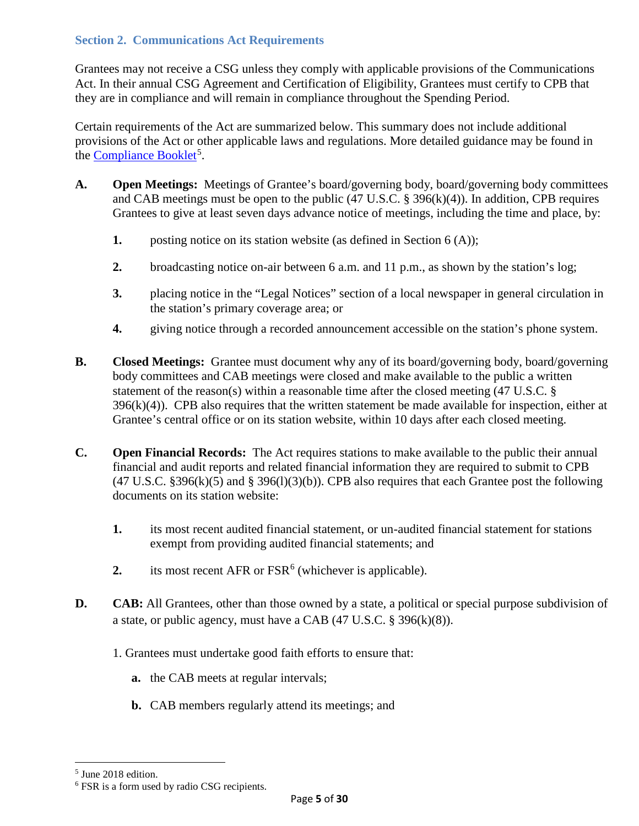# <span id="page-4-0"></span>**Section 2. Communications Act Requirements**

Grantees may not receive a CSG unless they comply with applicable provisions of the Communications Act. In their annual CSG Agreement and Certification of Eligibility, Grantees must certify to CPB that they are in compliance and will remain in compliance throughout the Spending Period.

Certain requirements of the Act are summarized below. This summary does not include additional provisions of the Act or other applicable laws and regulations. More detailed guidance may be found in the **Compliance Booklet**<sup>[5](#page-4-1)</sup>.

- **A. Open Meetings:** Meetings of Grantee's board/governing body, board/governing body committees and CAB meetings must be open to the public  $(47 \text{ U.S. C. }$  § 396(k)(4)). In addition, CPB requires Grantees to give at least seven days advance notice of meetings, including the time and place, by:
	- **1.** posting notice on its station website (as defined in Section 6 (A));
	- **2.** broadcasting notice on-air between 6 a.m. and 11 p.m., as shown by the station's log;
	- **3.** placing notice in the "Legal Notices" section of a local newspaper in general circulation in the station's primary coverage area; or
	- **4.** giving notice through a recorded announcement accessible on the station's phone system.
- **B. Closed Meetings:** Grantee must document why any of its board/governing body, board/governing body committees and CAB meetings were closed and make available to the public a written statement of the reason(s) within a reasonable time after the closed meeting (47 U.S.C. §  $396(k)(4)$ ). CPB also requires that the written statement be made available for inspection, either at Grantee's central office or on its station website, within 10 days after each closed meeting.
- **C. Open Financial Records:** The Act requires stations to make available to the public their annual financial and audit reports and related financial information they are required to submit to CPB  $(47 \text{ U.S.C. }$  \$396(k)(5) and \$396(l)(3)(b)). CPB also requires that each Grantee post the following documents on its station website:
	- **1.** its most recent audited financial statement, or un-audited financial statement for stations exempt from providing audited financial statements; and
	- **2.** its most recent AFR or FSR<sup>[6](#page-4-2)</sup> (whichever is applicable).
- **D. CAB:** All Grantees, other than those owned by a state, a political or special purpose subdivision of a state, or public agency, must have a CAB (47 U.S.C. § 396(k)(8)).
	- 1. Grantees must undertake good faith efforts to ensure that:
		- **a.** the CAB meets at regular intervals;
		- **b.** CAB members regularly attend its meetings; and

 $\overline{\phantom{a}}$ 

<span id="page-4-1"></span><sup>5</sup> June 2018 edition.

<span id="page-4-2"></span><sup>6</sup> FSR is a form used by radio CSG recipients.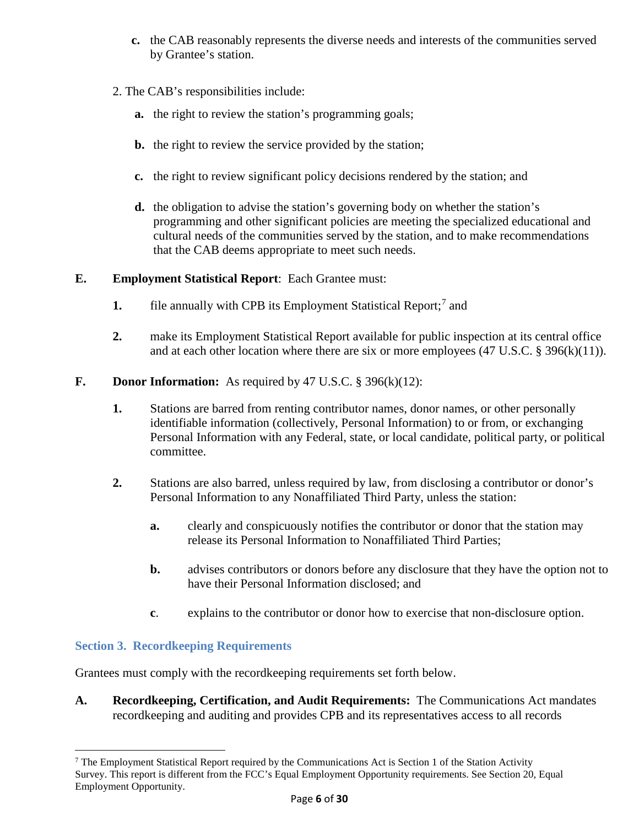- **c.** the CAB reasonably represents the diverse needs and interests of the communities served by Grantee's station.
- 2. The CAB's responsibilities include:
	- **a.** the right to review the station's programming goals;
	- **b.** the right to review the service provided by the station;
	- **c.** the right to review significant policy decisions rendered by the station; and
	- **d.** the obligation to advise the station's governing body on whether the station's programming and other significant policies are meeting the specialized educational and cultural needs of the communities served by the station, and to make recommendations that the CAB deems appropriate to meet such needs.

#### **E. Employment Statistical Report**: Each Grantee must:

- **1.** file annually with CPB its Employment Statistical Report;<sup>[7](#page-5-1)</sup> and
- **2.** make its Employment Statistical Report available for public inspection at its central office and at each other location where there are six or more employees (47 U.S.C. § 396(k)(11)).
- **F. Donor Information:** As required by 47 U.S.C. § 396(k)(12):
	- **1.** Stations are barred from renting contributor names, donor names, or other personally identifiable information (collectively, Personal Information) to or from, or exchanging Personal Information with any Federal, state, or local candidate, political party, or political committee.
	- **2.** Stations are also barred, unless required by law, from disclosing a contributor or donor's Personal Information to any Nonaffiliated Third Party, unless the station:
		- **a.** clearly and conspicuously notifies the contributor or donor that the station may release its Personal Information to Nonaffiliated Third Parties;
		- **b.** advises contributors or donors before any disclosure that they have the option not to have their Personal Information disclosed; and
		- **c**. explains to the contributor or donor how to exercise that non-disclosure option.

#### <span id="page-5-0"></span>**Section 3. Recordkeeping Requirements**

l

Grantees must comply with the recordkeeping requirements set forth below.

**A. Recordkeeping, Certification, and Audit Requirements:** The Communications Act mandates recordkeeping and auditing and provides CPB and its representatives access to all records

<span id="page-5-1"></span><sup>7</sup> The Employment Statistical Report required by the Communications Act is Section 1 of the Station Activity Survey. This report is different from the FCC's Equal Employment Opportunity requirements. See Section 20, Equal Employment Opportunity.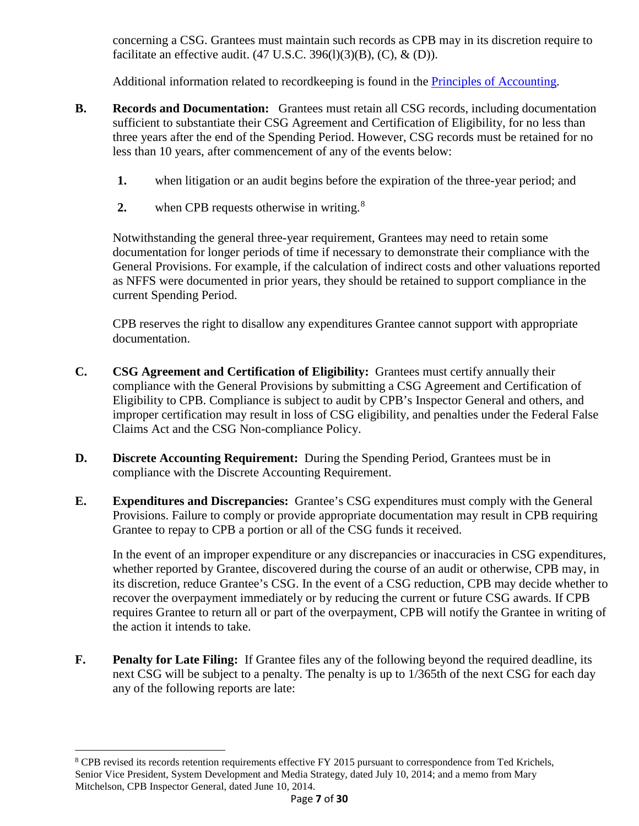concerning a CSG. Grantees must maintain such records as CPB may in its discretion require to facilitate an effective audit.  $(47 \text{ U.S.C. } 396(1)(3)(\text{B}), (\text{C}), \& (\text{D})).$ 

Additional information related to recordkeeping is found in the [Principles of Accounting.](http://www.cpb.org/stations/principles/principlesofaccounting050818.pdf)

- **B. Records and Documentation:** Grantees must retain all CSG records, including documentation sufficient to substantiate their CSG Agreement and Certification of Eligibility, for no less than three years after the end of the Spending Period. However, CSG records must be retained for no less than 10 years, after commencement of any of the events below:
	- **1.** when litigation or an audit begins before the expiration of the three-year period; and
	- 2. when CPB requests otherwise in writing.<sup>[8](#page-6-0)</sup>

Notwithstanding the general three-year requirement, Grantees may need to retain some documentation for longer periods of time if necessary to demonstrate their compliance with the General Provisions. For example, if the calculation of indirect costs and other valuations reported as NFFS were documented in prior years, they should be retained to support compliance in the current Spending Period.

CPB reserves the right to disallow any expenditures Grantee cannot support with appropriate documentation.

- **C. CSG Agreement and Certification of Eligibility:** Grantees must certify annually their compliance with the General Provisions by submitting a CSG Agreement and Certification of Eligibility to CPB. Compliance is subject to audit by CPB's Inspector General and others, and improper certification may result in loss of CSG eligibility, and penalties under the Federal False Claims Act and the CSG Non-compliance Policy.
- **D. Discrete Accounting Requirement:** During the Spending Period, Grantees must be in compliance with the Discrete Accounting Requirement.
- **E. Expenditures and Discrepancies:** Grantee's CSG expenditures must comply with the General Provisions. Failure to comply or provide appropriate documentation may result in CPB requiring Grantee to repay to CPB a portion or all of the CSG funds it received.

In the event of an improper expenditure or any discrepancies or inaccuracies in CSG expenditures, whether reported by Grantee, discovered during the course of an audit or otherwise, CPB may, in its discretion, reduce Grantee's CSG. In the event of a CSG reduction, CPB may decide whether to recover the overpayment immediately or by reducing the current or future CSG awards. If CPB requires Grantee to return all or part of the overpayment, CPB will notify the Grantee in writing of the action it intends to take.

**F. Penalty for Late Filing:** If Grantee files any of the following beyond the required deadline, its next CSG will be subject to a penalty. The penalty is up to 1/365th of the next CSG for each day any of the following reports are late:

l

<span id="page-6-0"></span><sup>8</sup> CPB revised its records retention requirements effective FY 2015 pursuant to correspondence from Ted Krichels, Senior Vice President, System Development and Media Strategy, dated July 10, 2014; and a memo from Mary Mitchelson, CPB Inspector General, dated June 10, 2014.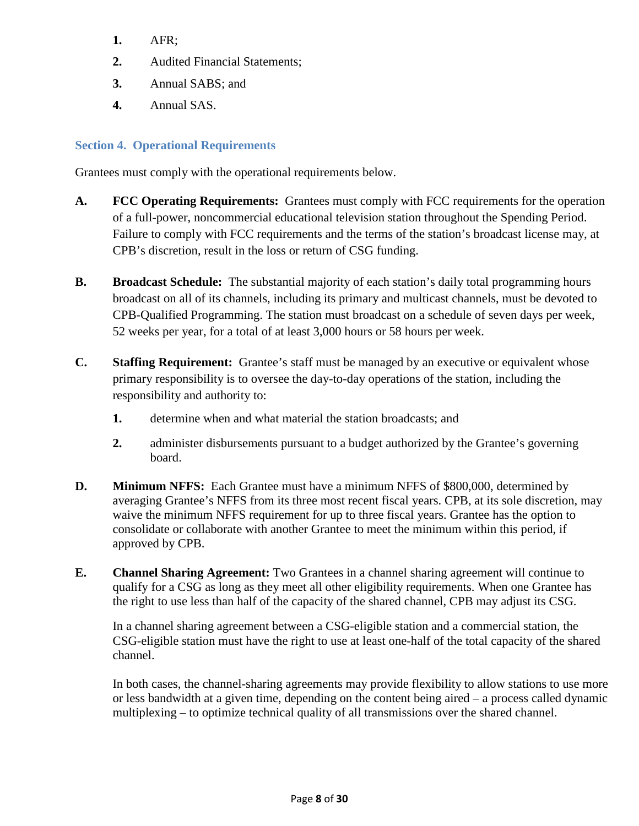- **1.** AFR;
- **2.** Audited Financial Statements;
- **3.** Annual SABS; and
- **4.** Annual SAS.

## <span id="page-7-0"></span>**Section 4. Operational Requirements**

Grantees must comply with the operational requirements below.

- **A. FCC Operating Requirements:** Grantees must comply with FCC requirements for the operation of a full-power, noncommercial educational television station throughout the Spending Period. Failure to comply with FCC requirements and the terms of the station's broadcast license may, at CPB's discretion, result in the loss or return of CSG funding.
- **B. Broadcast Schedule:** The substantial majority of each station's daily total programming hours broadcast on all of its channels, including its primary and multicast channels, must be devoted to CPB-Qualified Programming. The station must broadcast on a schedule of seven days per week, 52 weeks per year, for a total of at least 3,000 hours or 58 hours per week.
- **C. Staffing Requirement:** Grantee's staff must be managed by an executive or equivalent whose primary responsibility is to oversee the day-to-day operations of the station, including the responsibility and authority to:
	- **1.** determine when and what material the station broadcasts; and
	- **2.** administer disbursements pursuant to a budget authorized by the Grantee's governing board.
- **D. Minimum NFFS:** Each Grantee must have a minimum NFFS of \$800,000, determined by averaging Grantee's NFFS from its three most recent fiscal years. CPB, at its sole discretion, may waive the minimum NFFS requirement for up to three fiscal years. Grantee has the option to consolidate or collaborate with another Grantee to meet the minimum within this period, if approved by CPB.
- **E. Channel Sharing Agreement:** Two Grantees in a channel sharing agreement will continue to qualify for a CSG as long as they meet all other eligibility requirements. When one Grantee has the right to use less than half of the capacity of the shared channel, CPB may adjust its CSG.

In a channel sharing agreement between a CSG-eligible station and a commercial station, the CSG-eligible station must have the right to use at least one-half of the total capacity of the shared channel.

In both cases, the channel-sharing agreements may provide flexibility to allow stations to use more or less bandwidth at a given time, depending on the content being aired – a process called dynamic multiplexing – to optimize technical quality of all transmissions over the shared channel.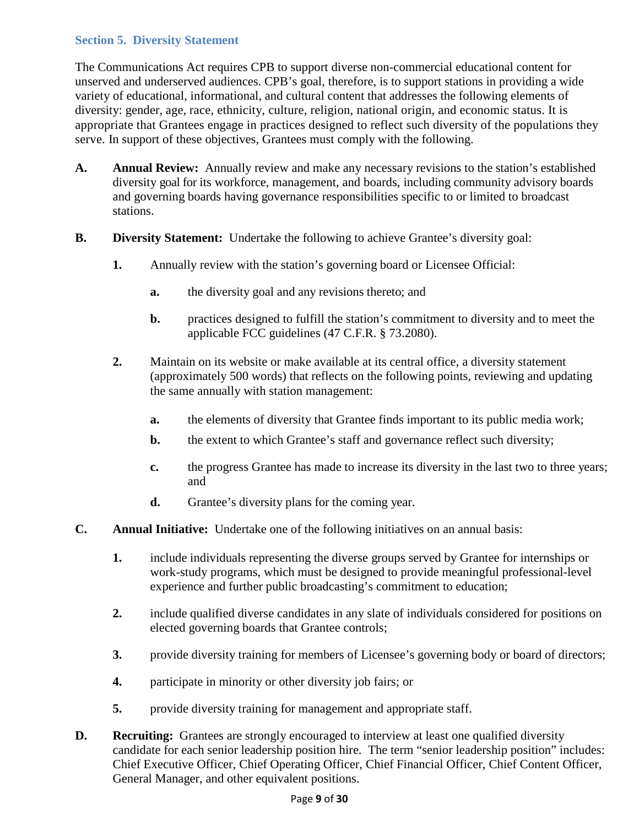# <span id="page-8-0"></span>**Section 5. Diversity Statement**

The Communications Act requires CPB to support diverse non-commercial educational content for unserved and underserved audiences. CPB's goal, therefore, is to support stations in providing a wide variety of educational, informational, and cultural content that addresses the following elements of diversity: gender, age, race, ethnicity, culture, religion, national origin, and economic status. It is appropriate that Grantees engage in practices designed to reflect such diversity of the populations they serve. In support of these objectives, Grantees must comply with the following.

- **A. Annual Review:** Annually review and make any necessary revisions to the station's established diversity goal for its workforce, management, and boards, including community advisory boards and governing boards having governance responsibilities specific to or limited to broadcast stations.
- **B. Diversity Statement:** Undertake the following to achieve Grantee's diversity goal:
	- **1.** Annually review with the station's governing board or Licensee Official:
		- **a.** the diversity goal and any revisions thereto; and
		- **b.** practices designed to fulfill the station's commitment to diversity and to meet the applicable FCC guidelines (47 C.F.R. § 73.2080).
	- **2.** Maintain on its website or make available at its central office, a diversity statement (approximately 500 words) that reflects on the following points, reviewing and updating the same annually with station management:
		- **a.** the elements of diversity that Grantee finds important to its public media work;
		- **b.** the extent to which Grantee's staff and governance reflect such diversity;
		- **c.** the progress Grantee has made to increase its diversity in the last two to three years; and
		- **d.** Grantee's diversity plans for the coming year.
- **C. Annual Initiative:** Undertake one of the following initiatives on an annual basis:
	- **1.** include individuals representing the diverse groups served by Grantee for internships or work-study programs, which must be designed to provide meaningful professional-level experience and further public broadcasting's commitment to education;
	- **2.** include qualified diverse candidates in any slate of individuals considered for positions on elected governing boards that Grantee controls;
	- **3.** provide diversity training for members of Licensee's governing body or board of directors;
	- **4.** participate in minority or other diversity job fairs; or
	- **5.** provide diversity training for management and appropriate staff.
- **D. Recruiting:** Grantees are strongly encouraged to interview at least one qualified diversity candidate for each senior leadership position hire. The term "senior leadership position" includes: Chief Executive Officer, Chief Operating Officer, Chief Financial Officer, Chief Content Officer, General Manager, and other equivalent positions.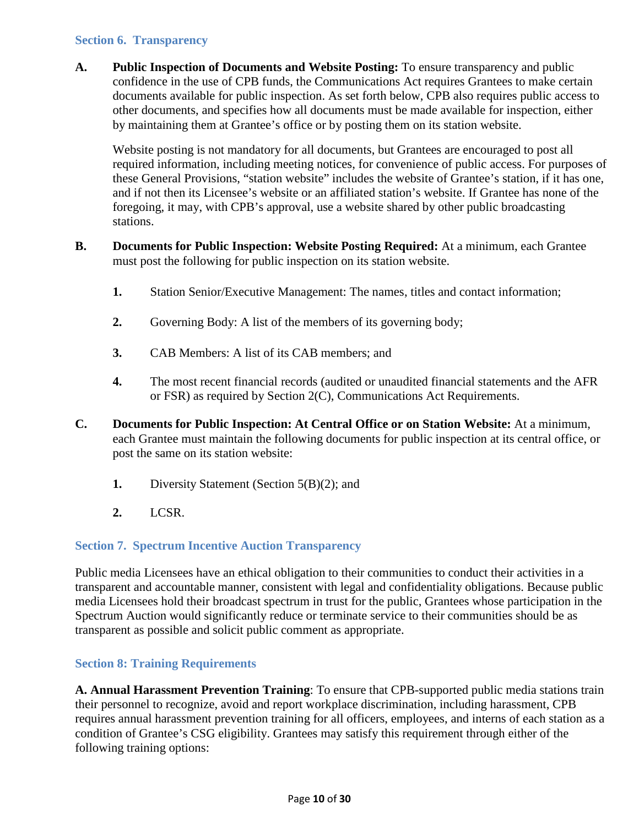#### <span id="page-9-0"></span>**Section 6. Transparency**

**A. Public Inspection of Documents and Website Posting:** To ensure transparency and public confidence in the use of CPB funds, the Communications Act requires Grantees to make certain documents available for public inspection. As set forth below, CPB also requires public access to other documents, and specifies how all documents must be made available for inspection, either by maintaining them at Grantee's office or by posting them on its station website.

Website posting is not mandatory for all documents, but Grantees are encouraged to post all required information, including meeting notices, for convenience of public access. For purposes of these General Provisions, "station website" includes the website of Grantee's station, if it has one, and if not then its Licensee's website or an affiliated station's website. If Grantee has none of the foregoing, it may, with CPB's approval, use a website shared by other public broadcasting stations.

- **B. Documents for Public Inspection: Website Posting Required:** At a minimum, each Grantee must post the following for public inspection on its station website.
	- **1.** Station Senior/Executive Management: The names, titles and contact information;
	- **2.** Governing Body: A list of the members of its governing body;
	- **3.** CAB Members: A list of its CAB members; and
	- **4.** The most recent financial records (audited or unaudited financial statements and the AFR or FSR) as required by Section 2(C), Communications Act Requirements.
- **C. Documents for Public Inspection: At Central Office or on Station Website:** At a minimum, each Grantee must maintain the following documents for public inspection at its central office, or post the same on its station website:
	- **1.** Diversity Statement (Section 5(B)(2); and
	- **2.** LCSR.

#### <span id="page-9-1"></span>**Section 7. Spectrum Incentive Auction Transparency**

Public media Licensees have an ethical obligation to their communities to conduct their activities in a transparent and accountable manner, consistent with legal and confidentiality obligations. Because public media Licensees hold their broadcast spectrum in trust for the public, Grantees whose participation in the Spectrum Auction would significantly reduce or terminate service to their communities should be as transparent as possible and solicit public comment as appropriate.

#### <span id="page-9-2"></span>**Section 8: Training Requirements**

**A. Annual Harassment Prevention Training**: To ensure that CPB-supported public media stations train their personnel to recognize, avoid and report workplace discrimination, including harassment, CPB requires annual harassment prevention training for all officers, employees, and interns of each station as a condition of Grantee's CSG eligibility. Grantees may satisfy this requirement through either of the following training options: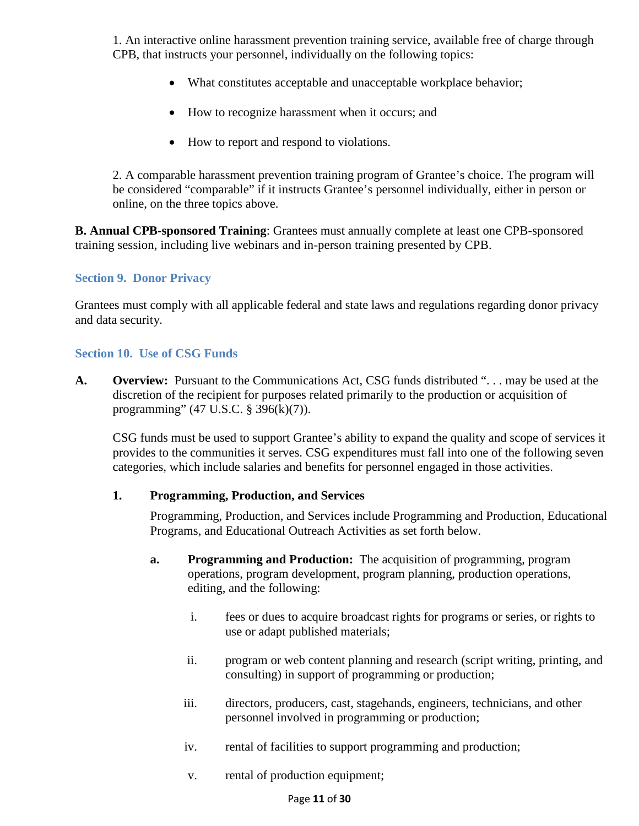1. An interactive online harassment prevention training service, available free of charge through CPB, that instructs your personnel, individually on the following topics:

- What constitutes acceptable and unacceptable workplace behavior;
- How to recognize harassment when it occurs; and
- How to report and respond to violations.

2. A comparable harassment prevention training program of Grantee's choice. The program will be considered "comparable" if it instructs Grantee's personnel individually, either in person or online, on the three topics above.

**B. Annual CPB-sponsored Training**: Grantees must annually complete at least one CPB-sponsored training session, including live webinars and in-person training presented by CPB.

#### <span id="page-10-0"></span>**Section 9. Donor Privacy**

Grantees must comply with all applicable federal and state laws and regulations regarding donor privacy and data security.

#### <span id="page-10-1"></span>**Section 10. Use of CSG Funds**

**A. Overview:** Pursuant to the Communications Act, CSG funds distributed ". . . may be used at the discretion of the recipient for purposes related primarily to the production or acquisition of programming" (47 U.S.C. § 396(k)(7)).

CSG funds must be used to support Grantee's ability to expand the quality and scope of services it provides to the communities it serves. CSG expenditures must fall into one of the following seven categories, which include salaries and benefits for personnel engaged in those activities.

#### **1. Programming, Production, and Services**

Programming, Production, and Services include Programming and Production, Educational Programs, and Educational Outreach Activities as set forth below.

- **a. Programming and Production:** The acquisition of programming, program operations, program development, program planning, production operations, editing, and the following:
	- i. fees or dues to acquire broadcast rights for programs or series, or rights to use or adapt published materials;
	- ii. program or web content planning and research (script writing, printing, and consulting) in support of programming or production;
	- iii. directors, producers, cast, stagehands, engineers, technicians, and other personnel involved in programming or production;
	- iv. rental of facilities to support programming and production;
	- v. rental of production equipment;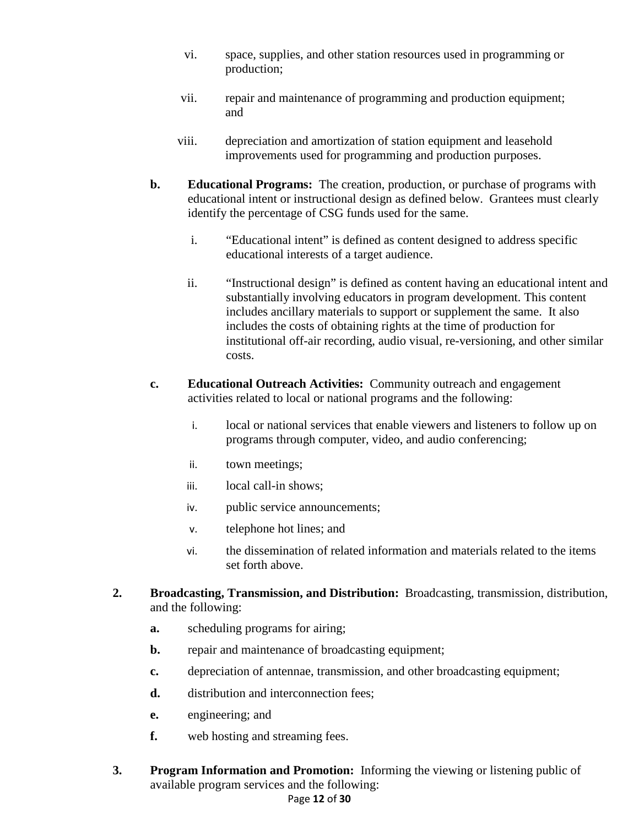- vi. space, supplies, and other station resources used in programming or production;
- vii. repair and maintenance of programming and production equipment; and
- viii. depreciation and amortization of station equipment and leasehold improvements used for programming and production purposes.
- **b. Educational Programs:** The creation, production, or purchase of programs with educational intent or instructional design as defined below. Grantees must clearly identify the percentage of CSG funds used for the same.
	- i. "Educational intent" is defined as content designed to address specific educational interests of a target audience.
	- ii. "Instructional design" is defined as content having an educational intent and substantially involving educators in program development. This content includes ancillary materials to support or supplement the same. It also includes the costs of obtaining rights at the time of production for institutional off-air recording, audio visual, re-versioning, and other similar costs.
- **c. Educational Outreach Activities:** Community outreach and engagement activities related to local or national programs and the following:
	- i. local or national services that enable viewers and listeners to follow up on programs through computer, video, and audio conferencing;
	- ii. town meetings;
	- iii. local call-in shows;
	- iv. public service announcements;
	- v. telephone hot lines; and
	- vi. the dissemination of related information and materials related to the items set forth above.
- **2. Broadcasting, Transmission, and Distribution:** Broadcasting, transmission, distribution, and the following:
	- **a.** scheduling programs for airing;
	- **b.** repair and maintenance of broadcasting equipment;
	- **c.** depreciation of antennae, transmission, and other broadcasting equipment;
	- **d.** distribution and interconnection fees;
	- **e.** engineering; and
	- **f.** web hosting and streaming fees.
- **3. Program Information and Promotion:** Informing the viewing or listening public of available program services and the following:

#### Page **12** of **30**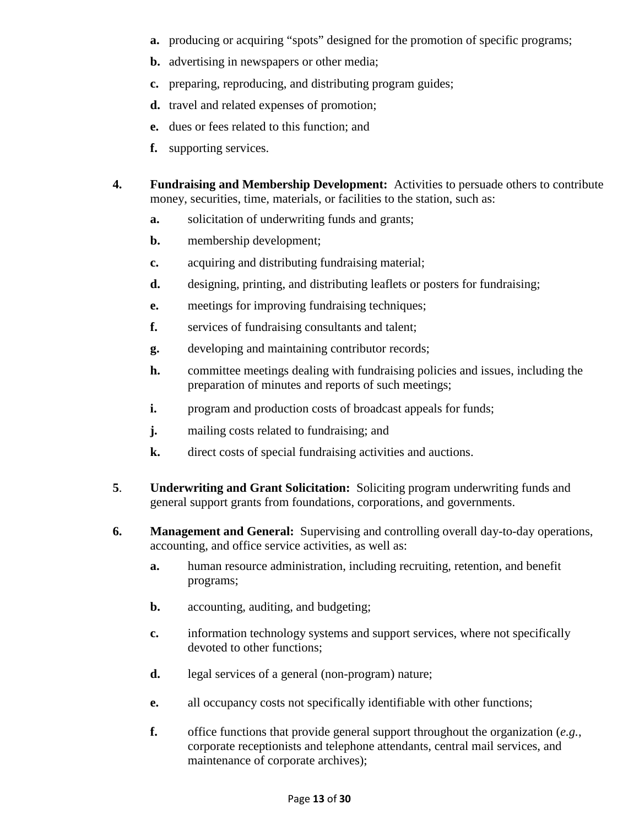- **a.** producing or acquiring "spots" designed for the promotion of specific programs;
- **b.** advertising in newspapers or other media;
- **c.** preparing, reproducing, and distributing program guides;
- **d.** travel and related expenses of promotion;
- **e.** dues or fees related to this function; and
- **f.** supporting services.
- **4. Fundraising and Membership Development:** Activities to persuade others to contribute money, securities, time, materials, or facilities to the station, such as:
	- **a.** solicitation of underwriting funds and grants;
	- **b.** membership development;
	- **c.** acquiring and distributing fundraising material;
	- **d.** designing, printing, and distributing leaflets or posters for fundraising;
	- **e.** meetings for improving fundraising techniques;
	- **f.** services of fundraising consultants and talent;
	- **g.** developing and maintaining contributor records;
	- **h.** committee meetings dealing with fundraising policies and issues, including the preparation of minutes and reports of such meetings;
	- **i.** program and production costs of broadcast appeals for funds;
	- **j.** mailing costs related to fundraising; and
	- **k.** direct costs of special fundraising activities and auctions.
- **5**. **Underwriting and Grant Solicitation:** Soliciting program underwriting funds and general support grants from foundations, corporations, and governments.
- **6. Management and General:** Supervising and controlling overall day-to-day operations, accounting, and office service activities, as well as:
	- **a.** human resource administration, including recruiting, retention, and benefit programs;
	- **b.** accounting, auditing, and budgeting;
	- **c.** information technology systems and support services, where not specifically devoted to other functions;
	- **d.** legal services of a general (non-program) nature;
	- **e.** all occupancy costs not specifically identifiable with other functions;
	- **f.** office functions that provide general support throughout the organization (*e.g.*, corporate receptionists and telephone attendants, central mail services, and maintenance of corporate archives);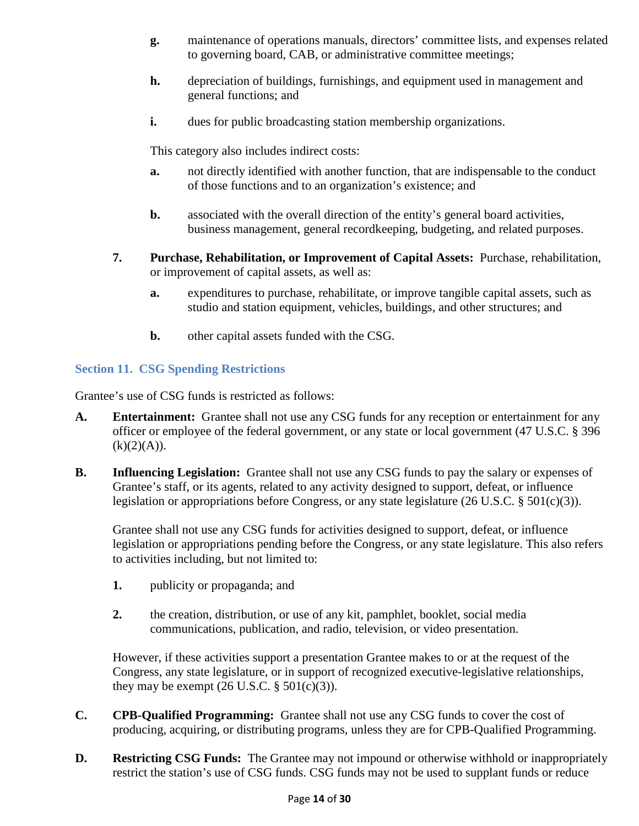- **g.** maintenance of operations manuals, directors' committee lists, and expenses related to governing board, CAB, or administrative committee meetings;
- **h.** depreciation of buildings, furnishings, and equipment used in management and general functions; and
- **i.** dues for public broadcasting station membership organizations.

This category also includes indirect costs:

- **a.** not directly identified with another function, that are indispensable to the conduct of those functions and to an organization's existence; and
- **b.** associated with the overall direction of the entity's general board activities, business management, general recordkeeping, budgeting, and related purposes.
- **7. Purchase, Rehabilitation, or Improvement of Capital Assets:** Purchase, rehabilitation, or improvement of capital assets, as well as:
	- **a.** expenditures to purchase, rehabilitate, or improve tangible capital assets, such as studio and station equipment, vehicles, buildings, and other structures; and
	- **b.** other capital assets funded with the CSG.

# <span id="page-13-0"></span>**Section 11. CSG Spending Restrictions**

Grantee's use of CSG funds is restricted as follows:

- **A. Entertainment:** Grantee shall not use any CSG funds for any reception or entertainment for any officer or employee of the federal government, or any state or local government (47 U.S.C. § 396  $(k)(2)(A)).$
- **B. Influencing Legislation:** Grantee shall not use any CSG funds to pay the salary or expenses of Grantee's staff, or its agents, related to any activity designed to support, defeat, or influence legislation or appropriations before Congress, or any state legislature (26 U.S.C. § 501(c)(3)).

Grantee shall not use any CSG funds for activities designed to support, defeat, or influence legislation or appropriations pending before the Congress, or any state legislature. This also refers to activities including, but not limited to:

- **1.** publicity or propaganda; and
- **2.** the creation, distribution, or use of any kit, pamphlet, booklet, social media communications, publication, and radio, television, or video presentation.

However, if these activities support a presentation Grantee makes to or at the request of the Congress, any state legislature, or in support of recognized executive-legislative relationships, they may be exempt  $(26 \text{ U.S.C.} \S 501(c)(3))$ .

- **C. CPB-Qualified Programming:** Grantee shall not use any CSG funds to cover the cost of producing, acquiring, or distributing programs, unless they are for CPB-Qualified Programming.
- **D. Restricting CSG Funds:** The Grantee may not impound or otherwise withhold or inappropriately restrict the station's use of CSG funds. CSG funds may not be used to supplant funds or reduce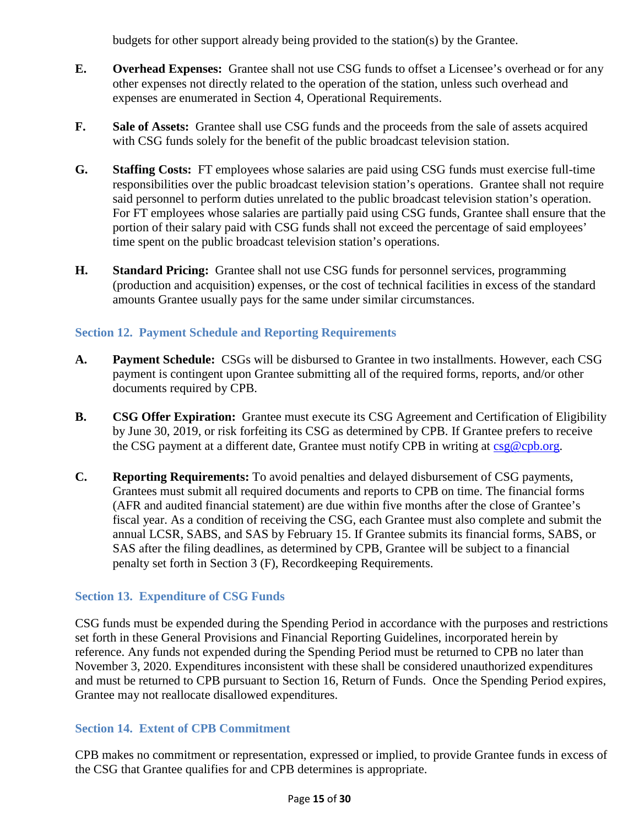budgets for other support already being provided to the station(s) by the Grantee.

- **E. Overhead Expenses:** Grantee shall not use CSG funds to offset a Licensee's overhead or for any other expenses not directly related to the operation of the station, unless such overhead and expenses are enumerated in Section 4, Operational Requirements.
- **F. Sale of Assets:** Grantee shall use CSG funds and the proceeds from the sale of assets acquired with CSG funds solely for the benefit of the public broadcast television station.
- **G. Staffing Costs:** FT employees whose salaries are paid using CSG funds must exercise full-time responsibilities over the public broadcast television station's operations. Grantee shall not require said personnel to perform duties unrelated to the public broadcast television station's operation. For FT employees whose salaries are partially paid using CSG funds, Grantee shall ensure that the portion of their salary paid with CSG funds shall not exceed the percentage of said employees' time spent on the public broadcast television station's operations.
- **H. Standard Pricing:** Grantee shall not use CSG funds for personnel services, programming (production and acquisition) expenses, or the cost of technical facilities in excess of the standard amounts Grantee usually pays for the same under similar circumstances.

#### <span id="page-14-0"></span>**Section 12. Payment Schedule and Reporting Requirements**

- **A. Payment Schedule:** CSGs will be disbursed to Grantee in two installments. However, each CSG payment is contingent upon Grantee submitting all of the required forms, reports, and/or other documents required by CPB.
- **B. CSG Offer Expiration:** Grantee must execute its CSG Agreement and Certification of Eligibility by June 30, 2019, or risk forfeiting its CSG as determined by CPB. If Grantee prefers to receive the CSG payment at a different date, Grantee must notify CPB in writing at [csg@cpb.org.](mailto:csg@cpb.org)
- **C. Reporting Requirements:** To avoid penalties and delayed disbursement of CSG payments, Grantees must submit all required documents and reports to CPB on time. The financial forms (AFR and audited financial statement) are due within five months after the close of Grantee's fiscal year. As a condition of receiving the CSG, each Grantee must also complete and submit the annual LCSR, SABS, and SAS by February 15. If Grantee submits its financial forms, SABS, or SAS after the filing deadlines, as determined by CPB, Grantee will be subject to a financial penalty set forth in Section 3 (F), Recordkeeping Requirements.

#### <span id="page-14-1"></span>**Section 13. Expenditure of CSG Funds**

CSG funds must be expended during the Spending Period in accordance with the purposes and restrictions set forth in these General Provisions and Financial Reporting Guidelines, incorporated herein by reference. Any funds not expended during the Spending Period must be returned to CPB no later than November 3, 2020. Expenditures inconsistent with these shall be considered unauthorized expenditures and must be returned to CPB pursuant to Section 16, Return of Funds. Once the Spending Period expires, Grantee may not reallocate disallowed expenditures.

#### <span id="page-14-2"></span>**Section 14. Extent of CPB Commitment**

CPB makes no commitment or representation, expressed or implied, to provide Grantee funds in excess of the CSG that Grantee qualifies for and CPB determines is appropriate.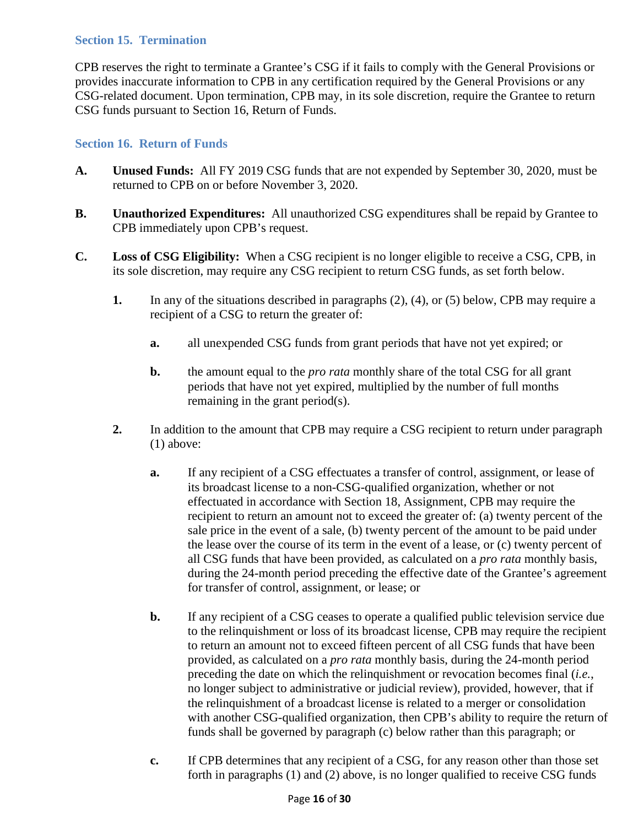#### <span id="page-15-0"></span>**Section 15. Termination**

CPB reserves the right to terminate a Grantee's CSG if it fails to comply with the General Provisions or provides inaccurate information to CPB in any certification required by the General Provisions or any CSG-related document. Upon termination, CPB may, in its sole discretion, require the Grantee to return CSG funds pursuant to Section 16, Return of Funds.

## <span id="page-15-1"></span>**Section 16. Return of Funds**

- **A. Unused Funds:** All FY 2019 CSG funds that are not expended by September 30, 2020, must be returned to CPB on or before November 3, 2020.
- **B. Unauthorized Expenditures:** All unauthorized CSG expenditures shall be repaid by Grantee to CPB immediately upon CPB's request.
- **C. Loss of CSG Eligibility:** When a CSG recipient is no longer eligible to receive a CSG, CPB, in its sole discretion, may require any CSG recipient to return CSG funds, as set forth below.
	- **1.** In any of the situations described in paragraphs (2), (4), or (5) below, CPB may require a recipient of a CSG to return the greater of:
		- **a.** all unexpended CSG funds from grant periods that have not yet expired; or
		- **b.** the amount equal to the *pro rata* monthly share of the total CSG for all grant periods that have not yet expired, multiplied by the number of full months remaining in the grant period(s).
	- **2.** In addition to the amount that CPB may require a CSG recipient to return under paragraph (1) above:
		- **a.** If any recipient of a CSG effectuates a transfer of control, assignment, or lease of its broadcast license to a non-CSG-qualified organization, whether or not effectuated in accordance with Section 18, Assignment, CPB may require the recipient to return an amount not to exceed the greater of: (a) twenty percent of the sale price in the event of a sale, (b) twenty percent of the amount to be paid under the lease over the course of its term in the event of a lease, or (c) twenty percent of all CSG funds that have been provided, as calculated on a *pro rata* monthly basis, during the 24-month period preceding the effective date of the Grantee's agreement for transfer of control, assignment, or lease; or
		- **b.** If any recipient of a CSG ceases to operate a qualified public television service due to the relinquishment or loss of its broadcast license, CPB may require the recipient to return an amount not to exceed fifteen percent of all CSG funds that have been provided, as calculated on a *pro rata* monthly basis, during the 24-month period preceding the date on which the relinquishment or revocation becomes final (*i.e.*, no longer subject to administrative or judicial review), provided, however, that if the relinquishment of a broadcast license is related to a merger or consolidation with another CSG-qualified organization, then CPB's ability to require the return of funds shall be governed by paragraph (c) below rather than this paragraph; or
		- **c.** If CPB determines that any recipient of a CSG, for any reason other than those set forth in paragraphs (1) and (2) above, is no longer qualified to receive CSG funds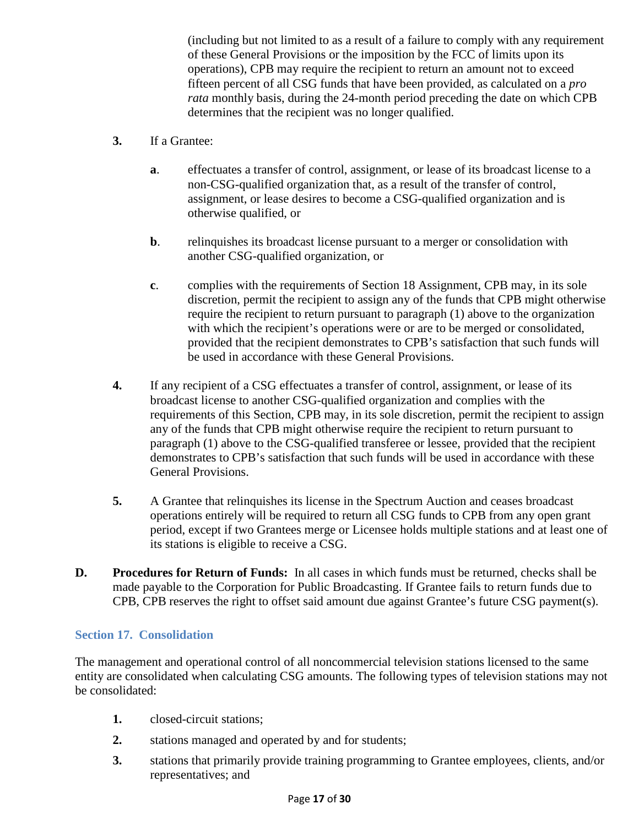(including but not limited to as a result of a failure to comply with any requirement of these General Provisions or the imposition by the FCC of limits upon its operations), CPB may require the recipient to return an amount not to exceed fifteen percent of all CSG funds that have been provided, as calculated on a *pro rata* monthly basis, during the 24-month period preceding the date on which CPB determines that the recipient was no longer qualified.

- **3.** If a Grantee:
	- **a**. effectuates a transfer of control, assignment, or lease of its broadcast license to a non-CSG-qualified organization that, as a result of the transfer of control, assignment, or lease desires to become a CSG-qualified organization and is otherwise qualified, or
	- **b**. relinquishes its broadcast license pursuant to a merger or consolidation with another CSG-qualified organization, or
	- **c**. complies with the requirements of Section 18 Assignment, CPB may, in its sole discretion, permit the recipient to assign any of the funds that CPB might otherwise require the recipient to return pursuant to paragraph (1) above to the organization with which the recipient's operations were or are to be merged or consolidated, provided that the recipient demonstrates to CPB's satisfaction that such funds will be used in accordance with these General Provisions.
- **4.** If any recipient of a CSG effectuates a transfer of control, assignment, or lease of its broadcast license to another CSG-qualified organization and complies with the requirements of this Section, CPB may, in its sole discretion, permit the recipient to assign any of the funds that CPB might otherwise require the recipient to return pursuant to paragraph (1) above to the CSG-qualified transferee or lessee, provided that the recipient demonstrates to CPB's satisfaction that such funds will be used in accordance with these General Provisions.
- **5.** A Grantee that relinquishes its license in the Spectrum Auction and ceases broadcast operations entirely will be required to return all CSG funds to CPB from any open grant period, except if two Grantees merge or Licensee holds multiple stations and at least one of its stations is eligible to receive a CSG.
- **D. Procedures for Return of Funds:** In all cases in which funds must be returned, checks shall be made payable to the Corporation for Public Broadcasting. If Grantee fails to return funds due to CPB, CPB reserves the right to offset said amount due against Grantee's future CSG payment(s).

#### <span id="page-16-0"></span>**Section 17. Consolidation**

The management and operational control of all noncommercial television stations licensed to the same entity are consolidated when calculating CSG amounts. The following types of television stations may not be consolidated:

- **1.** closed-circuit stations;
- **2.** stations managed and operated by and for students;
- **3.** stations that primarily provide training programming to Grantee employees, clients, and/or representatives; and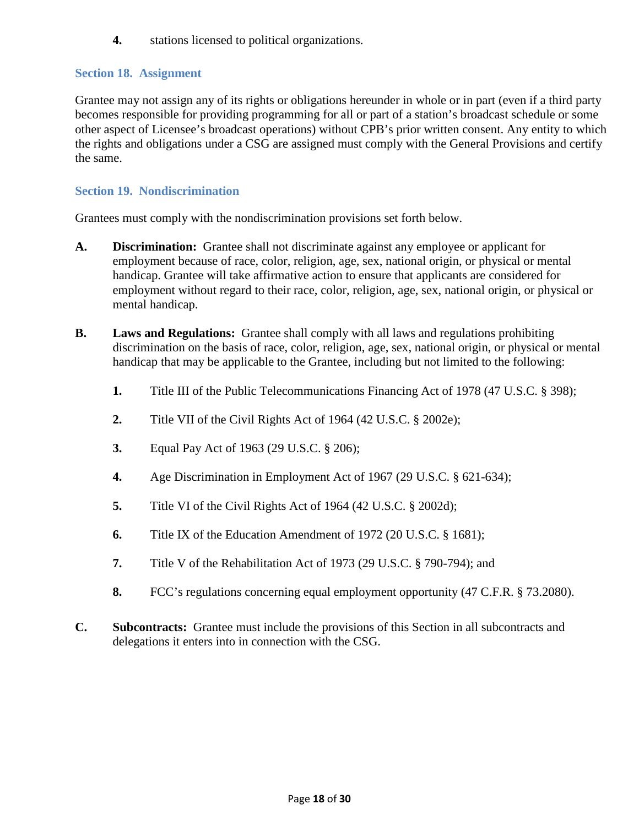**4.** stations licensed to political organizations.

#### <span id="page-17-0"></span>**Section 18. Assignment**

Grantee may not assign any of its rights or obligations hereunder in whole or in part (even if a third party becomes responsible for providing programming for all or part of a station's broadcast schedule or some other aspect of Licensee's broadcast operations) without CPB's prior written consent. Any entity to which the rights and obligations under a CSG are assigned must comply with the General Provisions and certify the same.

#### <span id="page-17-1"></span>**Section 19. Nondiscrimination**

Grantees must comply with the nondiscrimination provisions set forth below.

- **A. Discrimination:** Grantee shall not discriminate against any employee or applicant for employment because of race, color, religion, age, sex, national origin, or physical or mental handicap. Grantee will take affirmative action to ensure that applicants are considered for employment without regard to their race, color, religion, age, sex, national origin, or physical or mental handicap.
- **B. Laws and Regulations:** Grantee shall comply with all laws and regulations prohibiting discrimination on the basis of race, color, religion, age, sex, national origin, or physical or mental handicap that may be applicable to the Grantee, including but not limited to the following:
	- **1.** Title III of the Public Telecommunications Financing Act of 1978 (47 U.S.C. § 398);
	- **2.** Title VII of the Civil Rights Act of 1964 (42 U.S.C. § 2002e);
	- **3.** Equal Pay Act of 1963 (29 U.S.C. § 206);
	- **4.** Age Discrimination in Employment Act of 1967 (29 U.S.C. § 621-634);
	- **5.** Title VI of the Civil Rights Act of 1964 (42 U.S.C. § 2002d);
	- **6.** Title IX of the Education Amendment of 1972 (20 U.S.C. § 1681);
	- **7.** Title V of the Rehabilitation Act of 1973 (29 U.S.C. § 790-794); and
	- **8.** FCC's regulations concerning equal employment opportunity (47 C.F.R. § 73.2080).
- **C. Subcontracts:** Grantee must include the provisions of this Section in all subcontracts and delegations it enters into in connection with the CSG.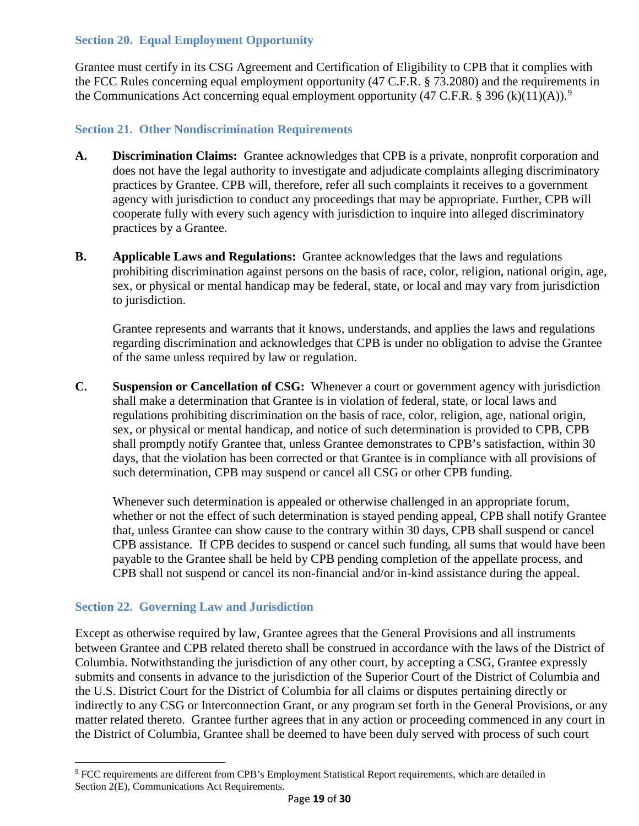## <span id="page-18-0"></span>**Section 20. Equal Employment Opportunity**

Grantee must certify in its CSG Agreement and Certification of Eligibility to CPB that it complies with the FCC Rules concerning equal employment opportunity (47 C.F.R. § 73.2080) and the requirements in the Communications Act concerning equal employment opportunity (47 C.F.R. § 3[9](#page-18-3)6 (k)(11)(A)).<sup>9</sup>

## <span id="page-18-1"></span>**Section 21. Other Nondiscrimination Requirements**

- **A. Discrimination Claims:** Grantee acknowledges that CPB is a private, nonprofit corporation and does not have the legal authority to investigate and adjudicate complaints alleging discriminatory practices by Grantee. CPB will, therefore, refer all such complaints it receives to a government agency with jurisdiction to conduct any proceedings that may be appropriate. Further, CPB will cooperate fully with every such agency with jurisdiction to inquire into alleged discriminatory practices by a Grantee.
- **B. Applicable Laws and Regulations:** Grantee acknowledges that the laws and regulations prohibiting discrimination against persons on the basis of race, color, religion, national origin, age, sex, or physical or mental handicap may be federal, state, or local and may vary from jurisdiction to jurisdiction.

Grantee represents and warrants that it knows, understands, and applies the laws and regulations regarding discrimination and acknowledges that CPB is under no obligation to advise the Grantee of the same unless required by law or regulation.

**C. Suspension or Cancellation of CSG:** Whenever a court or government agency with jurisdiction shall make a determination that Grantee is in violation of federal, state, or local laws and regulations prohibiting discrimination on the basis of race, color, religion, age, national origin, sex, or physical or mental handicap, and notice of such determination is provided to CPB, CPB shall promptly notify Grantee that, unless Grantee demonstrates to CPB's satisfaction, within 30 days, that the violation has been corrected or that Grantee is in compliance with all provisions of such determination, CPB may suspend or cancel all CSG or other CPB funding.

Whenever such determination is appealed or otherwise challenged in an appropriate forum, whether or not the effect of such determination is stayed pending appeal, CPB shall notify Grantee that, unless Grantee can show cause to the contrary within 30 days, CPB shall suspend or cancel CPB assistance. If CPB decides to suspend or cancel such funding, all sums that would have been payable to the Grantee shall be held by CPB pending completion of the appellate process, and CPB shall not suspend or cancel its non-financial and/or in-kind assistance during the appeal.

#### <span id="page-18-2"></span>**Section 22. Governing Law and Jurisdiction**

 $\overline{\phantom{a}}$ 

Except as otherwise required by law, Grantee agrees that the General Provisions and all instruments between Grantee and CPB related thereto shall be construed in accordance with the laws of the District of Columbia. Notwithstanding the jurisdiction of any other court, by accepting a CSG, Grantee expressly submits and consents in advance to the jurisdiction of the Superior Court of the District of Columbia and the U.S. District Court for the District of Columbia for all claims or disputes pertaining directly or indirectly to any CSG or Interconnection Grant, or any program set forth in the General Provisions, or any matter related thereto. Grantee further agrees that in any action or proceeding commenced in any court in the District of Columbia, Grantee shall be deemed to have been duly served with process of such court

<span id="page-18-3"></span><sup>&</sup>lt;sup>9</sup> FCC requirements are different from CPB's Employment Statistical Report requirements, which are detailed in Section 2(E), Communications Act Requirements.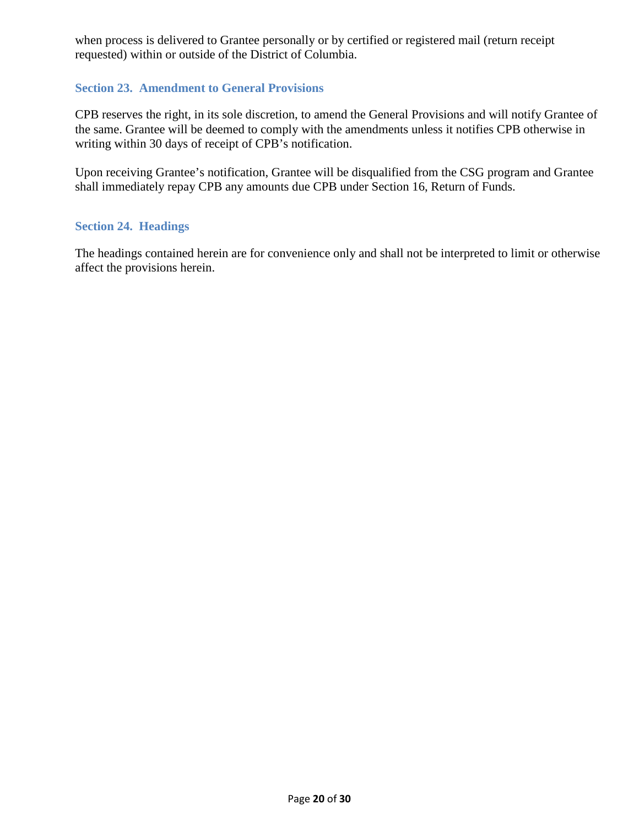when process is delivered to Grantee personally or by certified or registered mail (return receipt requested) within or outside of the District of Columbia.

#### <span id="page-19-0"></span>**Section 23. Amendment to General Provisions**

CPB reserves the right, in its sole discretion, to amend the General Provisions and will notify Grantee of the same. Grantee will be deemed to comply with the amendments unless it notifies CPB otherwise in writing within 30 days of receipt of CPB's notification.

Upon receiving Grantee's notification, Grantee will be disqualified from the CSG program and Grantee shall immediately repay CPB any amounts due CPB under Section 16, Return of Funds.

#### <span id="page-19-1"></span>**Section 24. Headings**

The headings contained herein are for convenience only and shall not be interpreted to limit or otherwise affect the provisions herein.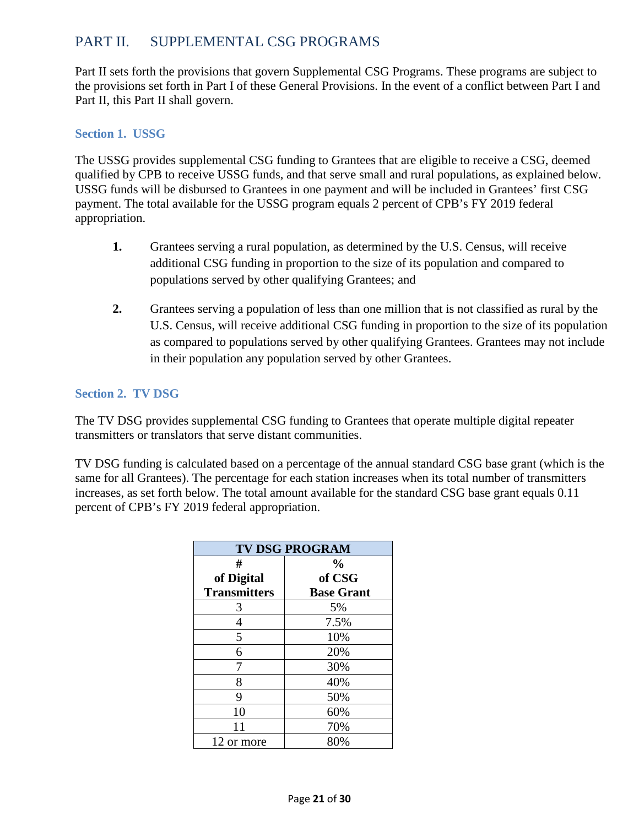# <span id="page-20-0"></span>PART II. SUPPLEMENTAL CSG PROGRAMS

Part II sets forth the provisions that govern Supplemental CSG Programs. These programs are subject to the provisions set forth in Part I of these General Provisions. In the event of a conflict between Part I and Part II, this Part II shall govern.

#### <span id="page-20-1"></span>**Section 1. USSG**

The USSG provides supplemental CSG funding to Grantees that are eligible to receive a CSG, deemed qualified by CPB to receive USSG funds, and that serve small and rural populations, as explained below. USSG funds will be disbursed to Grantees in one payment and will be included in Grantees' first CSG payment. The total available for the USSG program equals 2 percent of CPB's FY 2019 federal appropriation.

- **1.** Grantees serving a rural population, as determined by the U.S. Census, will receive additional CSG funding in proportion to the size of its population and compared to populations served by other qualifying Grantees; and
- **2.** Grantees serving a population of less than one million that is not classified as rural by the U.S. Census, will receive additional CSG funding in proportion to the size of its population as compared to populations served by other qualifying Grantees. Grantees may not include in their population any population served by other Grantees.

# <span id="page-20-2"></span>**Section 2. TV DSG**

The TV DSG provides supplemental CSG funding to Grantees that operate multiple digital repeater transmitters or translators that serve distant communities.

TV DSG funding is calculated based on a percentage of the annual standard CSG base grant (which is the same for all Grantees). The percentage for each station increases when its total number of transmitters increases, as set forth below. The total amount available for the standard CSG base grant equals 0.11 percent of CPB's FY 2019 federal appropriation.

| <b>TV DSG PROGRAM</b> |                   |  |  |  |
|-----------------------|-------------------|--|--|--|
| #                     | $\frac{0}{0}$     |  |  |  |
| of Digital            | of CSG            |  |  |  |
| <b>Transmitters</b>   | <b>Base Grant</b> |  |  |  |
| 3                     | 5%                |  |  |  |
| 4                     | 7.5%              |  |  |  |
| 5                     | 10%               |  |  |  |
| 6                     | 20%               |  |  |  |
|                       | 30%               |  |  |  |
| 8                     | 40%               |  |  |  |
| 9                     | 50%               |  |  |  |
| 10                    | 60%               |  |  |  |
| 11                    | 70%               |  |  |  |
| 12 or more            | 80%               |  |  |  |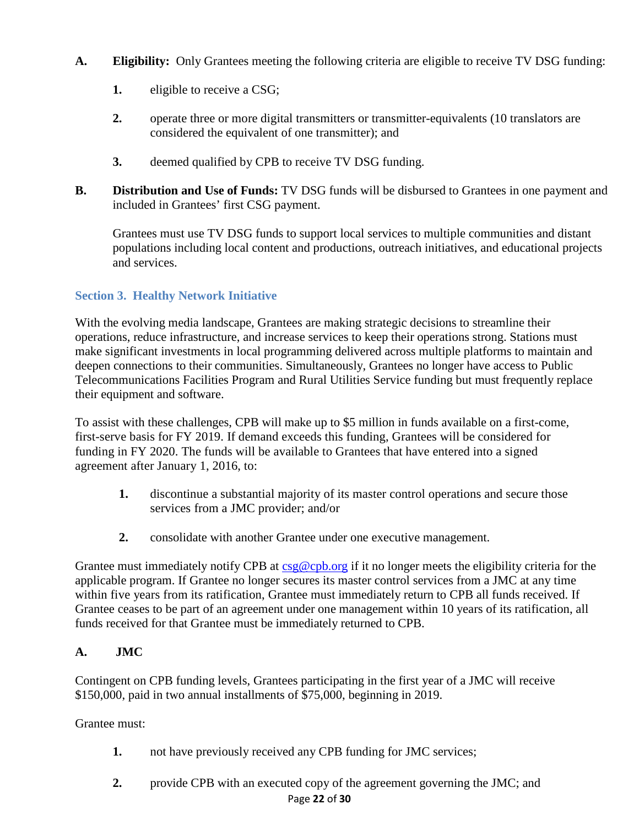- **A. Eligibility:** Only Grantees meeting the following criteria are eligible to receive TV DSG funding:
	- **1.** eligible to receive a CSG;
	- **2.** operate three or more digital transmitters or transmitter-equivalents (10 translators are considered the equivalent of one transmitter); and
	- **3.** deemed qualified by CPB to receive TV DSG funding.
- **B. Distribution and Use of Funds:** TV DSG funds will be disbursed to Grantees in one payment and included in Grantees' first CSG payment.

Grantees must use TV DSG funds to support local services to multiple communities and distant populations including local content and productions, outreach initiatives, and educational projects and services.

# <span id="page-21-0"></span>**Section 3. Healthy Network Initiative**

With the evolving media landscape, Grantees are making strategic decisions to streamline their operations, reduce infrastructure, and increase services to keep their operations strong. Stations must make significant investments in local programming delivered across multiple platforms to maintain and deepen connections to their communities. Simultaneously, Grantees no longer have access to Public Telecommunications Facilities Program and Rural Utilities Service funding but must frequently replace their equipment and software.

To assist with these challenges, CPB will make up to \$5 million in funds available on a first-come, first-serve basis for FY 2019. If demand exceeds this funding, Grantees will be considered for funding in FY 2020. The funds will be available to Grantees that have entered into a signed agreement after January 1, 2016, to:

- **1.** discontinue a substantial majority of its master control operations and secure those services from a JMC provider; and/or
- **2.** consolidate with another Grantee under one executive management.

Grantee must immediately notify CPB at  $csg@cpb.org$  if it no longer meets the eligibility criteria for the applicable program. If Grantee no longer secures its master control services from a JMC at any time within five years from its ratification, Grantee must immediately return to CPB all funds received. If Grantee ceases to be part of an agreement under one management within 10 years of its ratification, all funds received for that Grantee must be immediately returned to CPB.

#### **A. JMC**

Contingent on CPB funding levels, Grantees participating in the first year of a JMC will receive \$150,000, paid in two annual installments of \$75,000, beginning in 2019.

Grantee must:

- **1.** not have previously received any CPB funding for JMC services;
- Page **22** of **30 2.** provide CPB with an executed copy of the agreement governing the JMC; and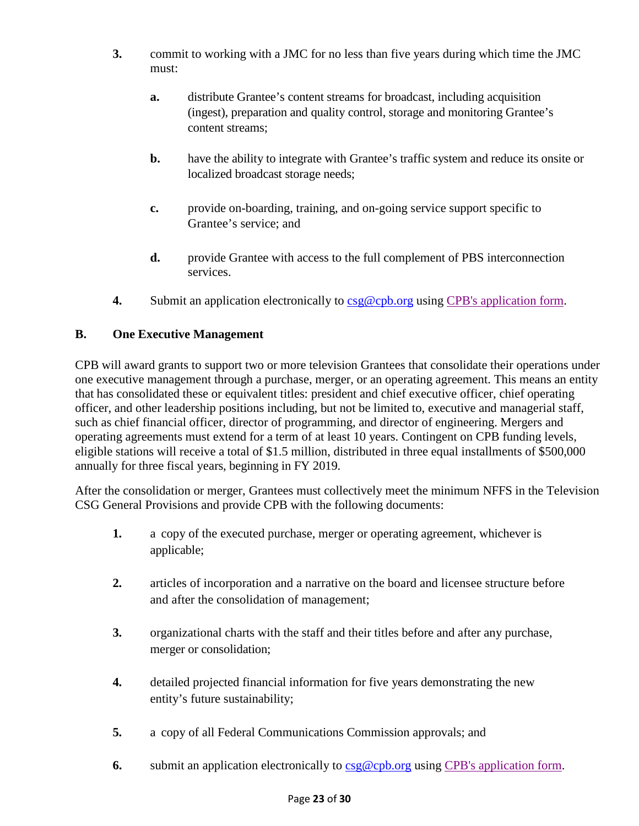- **3.** commit to working with a JMC for no less than five years during which time the JMC must:
	- **a.** distribute Grantee's content streams for broadcast, including acquisition (ingest), preparation and quality control, storage and monitoring Grantee's content streams;
	- **b.** have the ability to integrate with Grantee's traffic system and reduce its onsite or localized broadcast storage needs;
	- **c.** provide on-boarding, training, and on-going service support specific to Grantee's service; and
	- **d.** provide Grantee with access to the full complement of PBS interconnection services.
- **4.** Submit an application electronically to [csg@cpb.org](mailto:csg@cpb.org) using [CPB's application form.](https://www.cpb.org/grants)

#### **B. One Executive Management**

CPB will award grants to support two or more television Grantees that consolidate their operations under one executive management through a purchase, merger, or an operating agreement. This means an entity that has consolidated these or equivalent titles: president and chief executive officer, chief operating officer, and other leadership positions including, but not be limited to, executive and managerial staff, such as chief financial officer, director of programming, and director of engineering. Mergers and operating agreements must extend for a term of at least 10 years. Contingent on CPB funding levels, eligible stations will receive a total of \$1.5 million, distributed in three equal installments of \$500,000 annually for three fiscal years, beginning in FY 2019.

After the consolidation or merger, Grantees must collectively meet the minimum NFFS in the Television CSG General Provisions and provide CPB with the following documents:

- **1.** a copy of the executed purchase, merger or operating agreement, whichever is applicable;
- **2.** articles of incorporation and a narrative on the board and licensee structure before and after the consolidation of management;
- **3.** organizational charts with the staff and their titles before and after any purchase, merger or consolidation;
- **4.** detailed projected financial information for five years demonstrating the new entity's future sustainability;
- **5.** a copy of all Federal Communications Commission approvals; and
- **6.** submit an application electronically to  $\frac{\text{csg@cpb.org}}{\text{cph.org}}$  using [CPB's application form.](https://www.cpb.org/grants)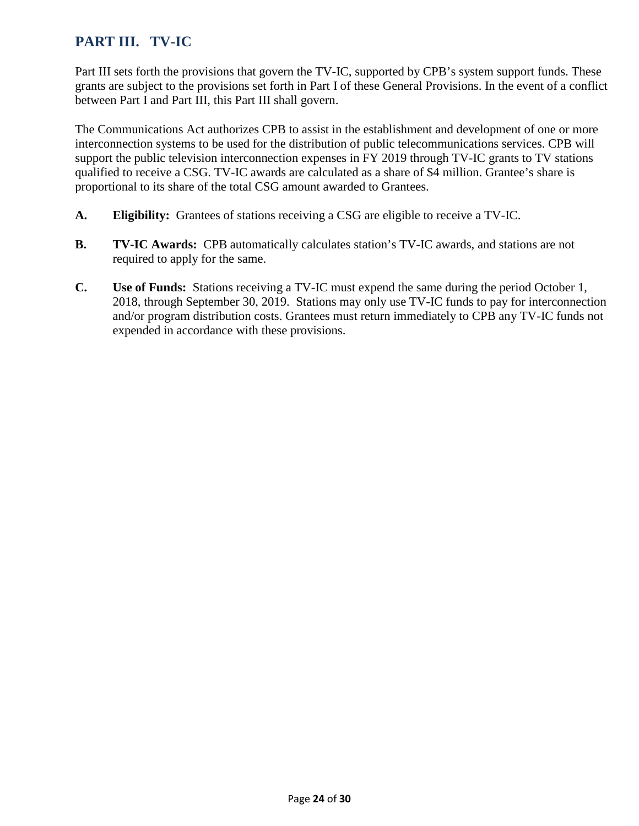# <span id="page-23-0"></span>**PART III. TV-IC**

Part III sets forth the provisions that govern the TV-IC, supported by CPB's system support funds. These grants are subject to the provisions set forth in Part I of these General Provisions. In the event of a conflict between Part I and Part III, this Part III shall govern.

The Communications Act authorizes CPB to assist in the establishment and development of one or more interconnection systems to be used for the distribution of public telecommunications services. CPB will support the public television interconnection expenses in FY 2019 through TV-IC grants to TV stations qualified to receive a CSG. TV-IC awards are calculated as a share of \$4 million. Grantee's share is proportional to its share of the total CSG amount awarded to Grantees.

- **A. Eligibility:** Grantees of stations receiving a CSG are eligible to receive a TV-IC.
- **B. TV-IC Awards:** CPB automatically calculates station's TV-IC awards, and stations are not required to apply for the same.
- **C. Use of Funds:** Stations receiving a TV-IC must expend the same during the period October 1, 2018, through September 30, 2019. Stations may only use TV-IC funds to pay for interconnection and/or program distribution costs. Grantees must return immediately to CPB any TV-IC funds not expended in accordance with these provisions.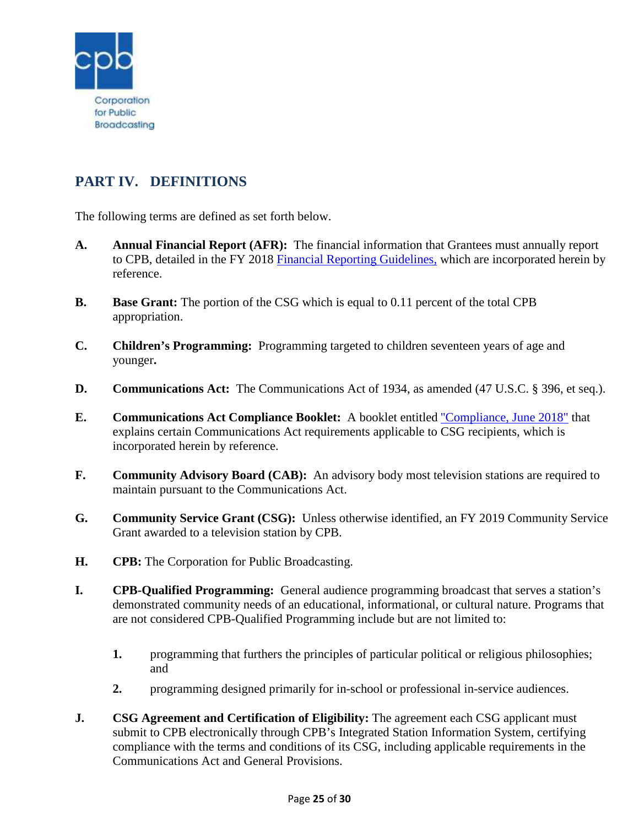

# <span id="page-24-0"></span>**PART IV. DEFINITIONS**

The following terms are defined as set forth below.

- **A. Annual Financial Report (AFR):** The financial information that Grantees must annually report to CPB, detailed in the FY 2018 [Financial Reporting Guidelines,](http://www.cpb.org/stations/frg/) which are incorporated herein by reference.
- **B. Base Grant:** The portion of the CSG which is equal to 0.11 percent of the total CPB appropriation.
- **C. Children's Programming:** Programming targeted to children seventeen years of age and younger**.**
- **D. Communications Act:** The Communications Act of 1934, as amended (47 U.S.C. § 396, et seq.).
- **E. Communications Act Compliance Booklet:** A booklet entitled ["Compliance, June 2018"](http://www.cpb.org/stations/certification) that explains certain Communications Act requirements applicable to CSG recipients, which is incorporated herein by reference.
- **F. Community Advisory Board (CAB):** An advisory body most television stations are required to maintain pursuant to the Communications Act.
- **G. Community Service Grant (CSG):** Unless otherwise identified, an FY 2019 Community Service Grant awarded to a television station by CPB.
- **H. CPB:** The Corporation for Public Broadcasting.
- **I. CPB-Qualified Programming:** General audience programming broadcast that serves a station's demonstrated community needs of an educational, informational, or cultural nature. Programs that are not considered CPB-Qualified Programming include but are not limited to:
	- **1.** programming that furthers the principles of particular political or religious philosophies; and
	- **2.** programming designed primarily for in-school or professional in-service audiences.
- **J. CSG Agreement and Certification of Eligibility:** The agreement each CSG applicant must submit to CPB electronically through CPB's Integrated Station Information System, certifying compliance with the terms and conditions of its CSG, including applicable requirements in the Communications Act and General Provisions.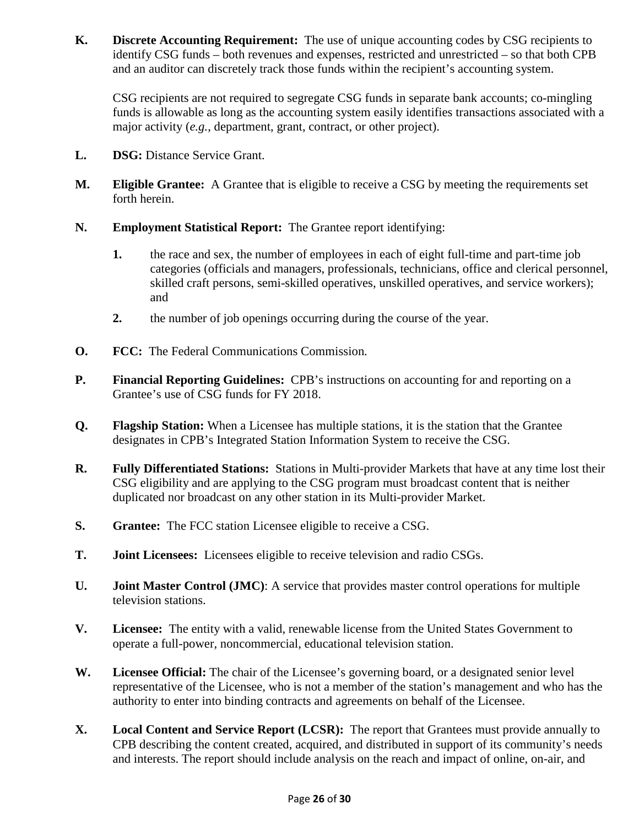**K. Discrete Accounting Requirement:** The use of unique accounting codes by CSG recipients to identify CSG funds – both revenues and expenses, restricted and unrestricted – so that both CPB and an auditor can discretely track those funds within the recipient's accounting system.

CSG recipients are not required to segregate CSG funds in separate bank accounts; co-mingling funds is allowable as long as the accounting system easily identifies transactions associated with a major activity (*e.g.*, department, grant, contract, or other project).

- L. **DSG:** Distance Service Grant.
- **M. Eligible Grantee:** A Grantee that is eligible to receive a CSG by meeting the requirements set forth herein.
- **N. Employment Statistical Report:** The Grantee report identifying:
	- **1.** the race and sex, the number of employees in each of eight full-time and part-time job categories (officials and managers, professionals, technicians, office and clerical personnel, skilled craft persons, semi-skilled operatives, unskilled operatives, and service workers); and
	- **2.** the number of job openings occurring during the course of the year.
- **O. FCC:** The Federal Communications Commission.
- **P. Financial Reporting Guidelines:** CPB's instructions on accounting for and reporting on a Grantee's use of CSG funds for FY 2018.
- **Q. Flagship Station:** When a Licensee has multiple stations, it is the station that the Grantee designates in CPB's Integrated Station Information System to receive the CSG.
- **R. Fully Differentiated Stations:** Stations in Multi-provider Markets that have at any time lost their CSG eligibility and are applying to the CSG program must broadcast content that is neither duplicated nor broadcast on any other station in its Multi-provider Market.
- **S. Grantee:** The FCC station Licensee eligible to receive a CSG.
- **T. Joint Licensees:** Licensees eligible to receive television and radio CSGs.
- **U. Joint Master Control (JMC)**: A service that provides master control operations for multiple television stations.
- **V. Licensee:** The entity with a valid, renewable license from the United States Government to operate a full-power, noncommercial, educational television station.
- **W. Licensee Official:** The chair of the Licensee's governing board, or a designated senior level representative of the Licensee, who is not a member of the station's management and who has the authority to enter into binding contracts and agreements on behalf of the Licensee.
- **X. Local Content and Service Report (LCSR):** The report that Grantees must provide annually to CPB describing the content created, acquired, and distributed in support of its community's needs and interests. The report should include analysis on the reach and impact of online, on-air, and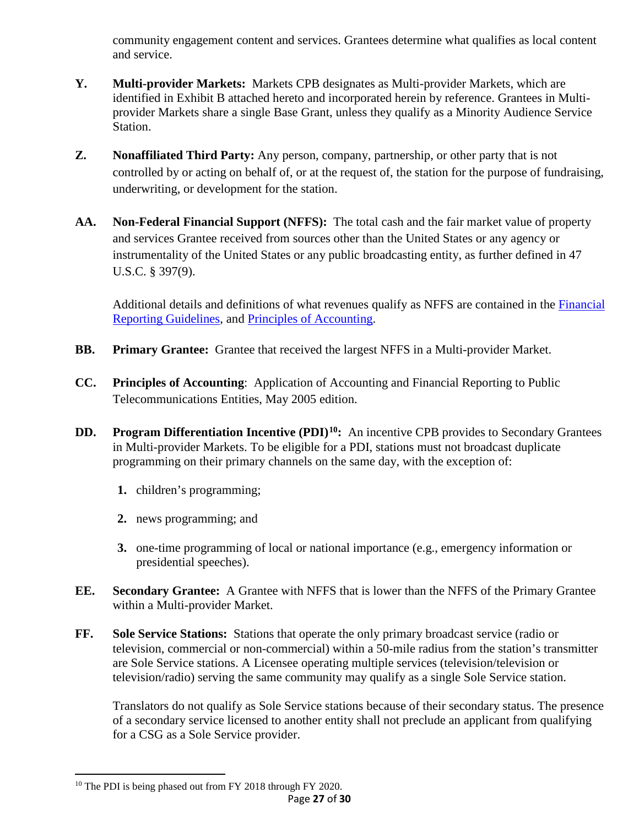community engagement content and services. Grantees determine what qualifies as local content and service.

- **Y. Multi-provider Markets:** Markets CPB designates as Multi-provider Markets, which are identified in Exhibit B attached hereto and incorporated herein by reference. Grantees in Multiprovider Markets share a single Base Grant, unless they qualify as a Minority Audience Service Station.
- **Z. Nonaffiliated Third Party:** Any person, company, partnership, or other party that is not controlled by or acting on behalf of, or at the request of, the station for the purpose of fundraising, underwriting, or development for the station.
- **AA. Non-Federal Financial Support (NFFS):** The total cash and the fair market value of property and services Grantee received from sources other than the United States or any agency or instrumentality of the United States or any public broadcasting entity, as further defined in 47 U.S.C. § 397(9).

Additional details and definitions of what revenues qualify as NFFS are contained in the [Financial](http://www.cpb.org/stations/frg/)  [Reporting Guidelines,](http://www.cpb.org/stations/frg/) and [Principles of Accounting.](http://www.cpb.org/stations/principles/principlesofaccounting050818.pdf)

- **BB.** Primary Grantee: Grantee that received the largest NFFS in a Multi-provider Market.
- **CC. Principles of Accounting**: Application of Accounting and Financial Reporting to Public Telecommunications Entities, May 2005 edition.
- **DD. Program Differentiation Incentive (PDI)[10:](#page-26-0)** An incentive CPB provides to Secondary Grantees in Multi-provider Markets. To be eligible for a PDI, stations must not broadcast duplicate programming on their primary channels on the same day, with the exception of:
	- **1.** children's programming;
	- **2.** news programming; and
	- **3.** one-time programming of local or national importance (e.g., emergency information or presidential speeches).
- **EE. Secondary Grantee:** A Grantee with NFFS that is lower than the NFFS of the Primary Grantee within a Multi-provider Market.
- **FF. Sole Service Stations:** Stations that operate the only primary broadcast service (radio or television, commercial or non-commercial) within a 50-mile radius from the station's transmitter are Sole Service stations. A Licensee operating multiple services (television/television or television/radio) serving the same community may qualify as a single Sole Service station.

Translators do not qualify as Sole Service stations because of their secondary status. The presence of a secondary service licensed to another entity shall not preclude an applicant from qualifying for a CSG as a Sole Service provider.

l

<span id="page-26-0"></span><sup>&</sup>lt;sup>10</sup> The PDI is being phased out from FY 2018 through FY 2020.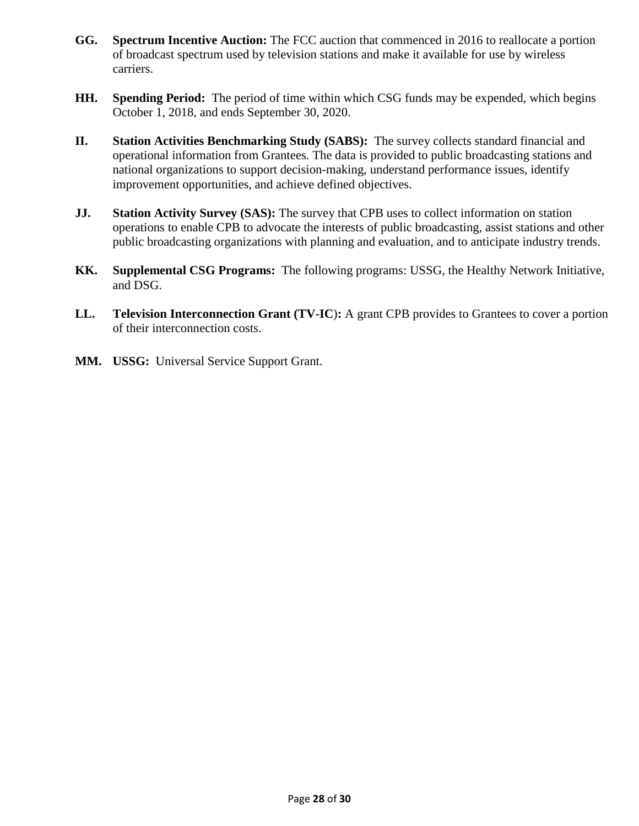- **GG. Spectrum Incentive Auction:** The FCC auction that commenced in 2016 to reallocate a portion of broadcast spectrum used by television stations and make it available for use by wireless carriers.
- **HH. Spending Period:** The period of time within which CSG funds may be expended, which begins October 1, 2018, and ends September 30, 2020.
- **II. Station Activities Benchmarking Study (SABS):** The survey collects standard financial and operational information from Grantees. The data is provided to public broadcasting stations and national organizations to support decision-making, understand performance issues, identify improvement opportunities, and achieve defined objectives.
- **JJ. Station Activity Survey (SAS):** The survey that CPB uses to collect information on station operations to enable CPB to advocate the interests of public broadcasting, assist stations and other public broadcasting organizations with planning and evaluation, and to anticipate industry trends.
- **KK. Supplemental CSG Programs:** The following programs: USSG, the Healthy Network Initiative, and DSG.
- **LL. Television Interconnection Grant (TV-IC**)**:** A grant CPB provides to Grantees to cover a portion of their interconnection costs.
- **MM. USSG:** Universal Service Support Grant.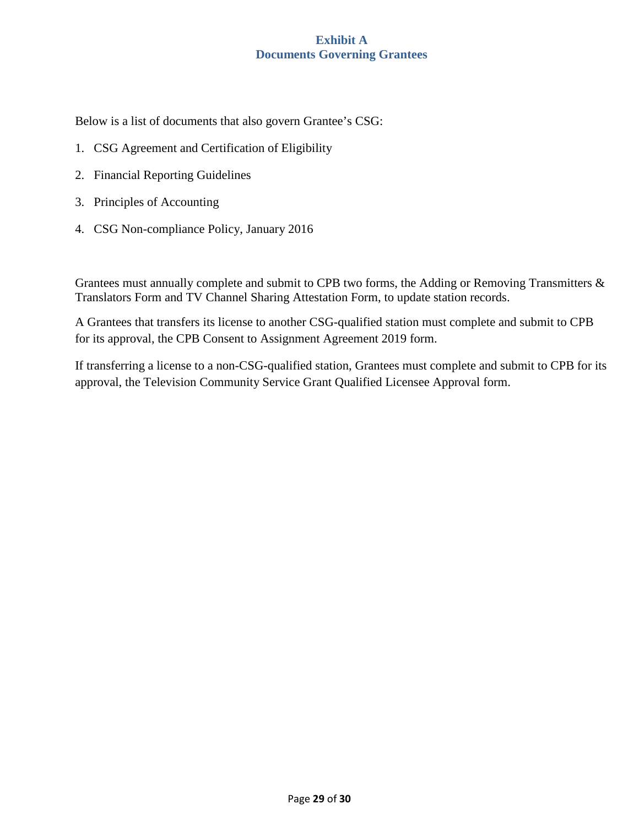#### **Exhibit A Documents Governing Grantees**

<span id="page-28-0"></span>Below is a list of documents that also govern Grantee's CSG:

- 1. CSG Agreement and Certification of Eligibility
- 2. Financial Reporting Guidelines
- 3. Principles of Accounting
- 4. CSG Non-compliance Policy, January 2016

Grantees must annually complete and submit to CPB two forms, the Adding or Removing Transmitters & Translators Form and TV Channel Sharing Attestation Form, to update station records.

A Grantees that transfers its license to another CSG-qualified station must complete and submit to CPB for its approval, the CPB Consent to Assignment Agreement 2019 form.

If transferring a license to a non-CSG-qualified station, Grantees must complete and submit to CPB for its approval, the Television Community Service Grant Qualified Licensee Approval form.